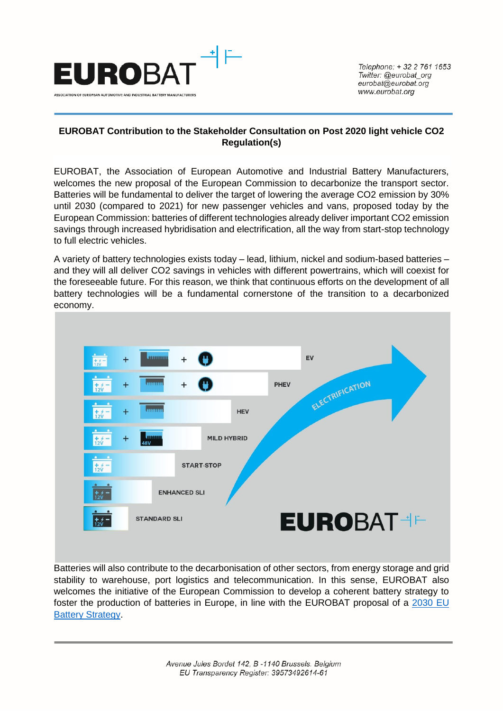

## **EUROBAT Contribution to the Stakeholder Consultation on Post 2020 light vehicle CO2 Regulation(s)**

EUROBAT, the Association of European Automotive and Industrial Battery Manufacturers, welcomes the new proposal of the European Commission to decarbonize the transport sector. Batteries will be fundamental to deliver the target of lowering the average CO2 emission by 30% until 2030 (compared to 2021) for new passenger vehicles and vans, proposed today by the European Commission: batteries of different technologies already deliver important CO2 emission savings through increased hybridisation and electrification, all the way from start-stop technology to full electric vehicles.

A variety of battery technologies exists today – lead, lithium, nickel and sodium-based batteries – and they will all deliver CO2 savings in vehicles with different powertrains, which will coexist for the foreseeable future. For this reason, we think that continuous efforts on the development of all battery technologies will be a fundamental cornerstone of the transition to a decarbonized economy.



Batteries will also contribute to the decarbonisation of other sectors, from energy storage and grid stability to warehouse, port logistics and telecommunication. In this sense, EUROBAT also welcomes the initiative of the European Commission to develop a coherent battery strategy to foster the production of batteries in Europe, in line with the EUROBAT proposal of a [2030 EU](https://eurobat.org/sites/default/files/170224_eurobat_battery_strategy_for_europe.pdf)  [Battery Strategy.](https://eurobat.org/sites/default/files/170224_eurobat_battery_strategy_for_europe.pdf)